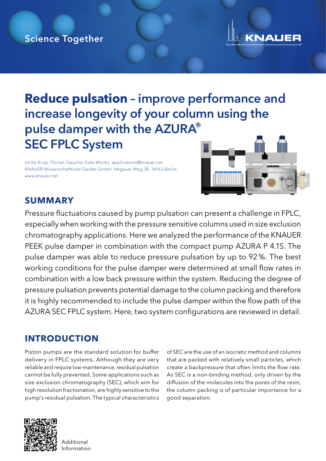## Science Together



## **Reduce pulsation** – improve performance and increase longevity of your column using the pulse damper with the AZURA® SEC FPLC System

Ulrike Krop, Florian Glauche, Kate Monks; applications@knauer.net KNAUER Wissenschaftliche Geräte GmbH, Hegauer Weg 38, 14163 Berlin; www.knauer.net



## **SUMMARY**

Pressure fluctuations caused by pump pulsation can present a challenge in FPLC, especially when working with the pressure sensitive columns used in size exclusion chromatography applications. Here we analyzed the performance of the KNAUER PEEK pulse damper in combination with the compact pump AZURA P 4.1S. The pulse damper was able to reduce pressure pulsation by up to 92%. The best working conditions for the pulse damper were determined at small flow rates in combination with a low back pressure within the system. Reducing the degree of pressure pulsation prevents potential damage to the column packing and therefore it is highly recommended to include the pulse damper within the flow path of the AZURA SEC FPLC system. Here, two system configurations are reviewed in detail.

## **INTRODUCTION**

Piston pumps are the standard solution for buffer delivery in FPLC systems. Although they are very reliable and require low-maintenance, residual pulsation cannot be fully prevented. Some applications such as size exclusion chromatography (SEC), which aim for high resolution fractionation, are highly sensitive to the pump's residual pulsation. The typical characteristics

of SEC are the use of an isocratic method and columns that are packed with relatively small particles, which create a backpressure that often limits the flow rate. As SEC is a non-binding method, only driven by the diffusion of the molecules into the pores of the resin, the column packing is of particular importance for a good separation.



**Additional** Information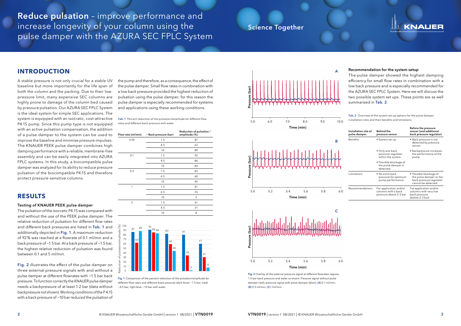## Science Together

Reduce pulsation – improve performance and increase longevity of your column using the pulse damper with the AZURA SEC FPLC System

### **RESULTS**

#### Testing of KNAUER PEEK pulse damper

The pulsation of the isocratic P4.1S was compared with and without the use of the PEEK pulse damper. The relative reduction of pulsation for different flow rates and different back pressures are listed in Tab. 1 and additionally depicted in Fig. 1. A maximum reduction of 92% was reached at a flowrate of 0.1 ml/min and a back pressure of ~1.5 bar. At a back pressure of ~1.5 bar, the highest relative reduction of pulsation was found between 0.1 and 5 ml/min.

Fig. 2 illustrates the effect of the pulse damper on three external pressure signals with and without a pulse damper at different flowrates with ~1.5 bar back pressure. To function correctly the KNAUER pulse damper needs a backpressure of at least 1-2 bar (data without backpressure not shown). Working conditions of the P 4.1S with a back pressure of ~10 bar reduced the pulsation of

Tab. 1 Percent reduction of the pulsation/amplitude for different flow rates and different back pressure with water

| Flow rate (ml/min) | ~ Back pressure (bar) | Reduction of pulsation /<br>amplitude (%) |
|--------------------|-----------------------|-------------------------------------------|
| 0.05               | 1.5                   | 87                                        |
|                    | 4.5                   | 63                                        |
|                    | 10                    | 89                                        |
| 0.1                | 1.5                   | 92                                        |
|                    | 4.5                   | 86                                        |
|                    | 10                    | 84                                        |
| 0.5                | 1.5                   | 83                                        |
|                    | 4.5                   | 60                                        |
|                    | 10                    | 45                                        |
| 1                  | 1.5                   | 81                                        |
|                    | 4.5                   | 35                                        |
|                    | 10                    | $\overline{2}$                            |
| 5                  | 1.5                   | 61                                        |
|                    | 4.5                   | 31                                        |
|                    | 10                    | 8                                         |





#### Recommendation for the system setup

The pulse damper showed the highest damping efficiency for small flow rates in combination with a low back pressure and is especially recommended for the AZURA SEC FPLC System. Here we will discuss the two possible system set ups. These points are as well summarized in Tab. 2.

Tab. 2 Overview of the system set up options for the pulse damper installation sites and their benefits and limitations.

| Installation site of<br>pulse damper | <b>Behind the</b><br>pressure sensor                                    | <b>Before the pressure</b><br>sensor (and additional<br>back pressure regulator)                   |
|--------------------------------------|-------------------------------------------------------------------------|----------------------------------------------------------------------------------------------------|
| <b>Benefits</b>                      | • Easiest set up                                                        | • Back pressure is not<br>detected by pressure<br>sensor                                           |
|                                      | • Only one back<br>pressure regulator<br>within the system              | • Backpressure increases<br>the performance of the<br>pump                                         |
|                                      | • Possible blockage of<br>the pulse damper is<br>detected               |                                                                                                    |
| Limitations                          | $\bullet$ No extra back<br>pressure for optimum<br>pump performance     | • Possible blockage of<br>the pulse damper or the<br>back pressure regulator<br>cannot be detected |
| Recommendations                      | For application and/or<br>columns with a back<br>pressure above 2-3 bar | For application and/or<br>columns with very low<br>back pressure<br>(below 2-3 bar)                |

## **INTRODUCTION**



Fig. 2 Overlay of the external pressure signal at different flowrates, approx. 1.5 bar back pressure and water as eluent. Pressure signal without pulse damper (red), pressure signal with pulse damper (blue); (A) 0.1 ml/min; (B) 0.5 ml/min; (C) 1ml/min



A stable pressure is not only crucial for a stable UV baseline but more importantly for the life span of both the column and the packing. Due to their lowpressure limit, many expensive SEC columns are highly prone to damage of the column bed caused by pressure pulsation. Our AZURA SEC FPLC System is the ideal system for simple SEC applications. The system is equipped with an isocratic, cost-attractive P4.1S pump. Since this pump type is not equipped with an active pulsation compensation, the addition of a pulse damper to the system can be used to improve the baseline and minimize pressure impulses. The KNAUER PEEK pulse damper combines high damping performance with a reliable, membrane-free assembly and can be easily integrated into AZURA FPLC systems. In this study, a biocompatible pulse damper was analyzed for its ability to reduce pressure pulsation of the biocompatible P4.1S and therefore protect pressure-sensitive columns.

the pump and therefore, as a consequence, the effect of the pulse damper. Small flow rates in combination with a low back pressure provided the highest reduction of pulsation using the pulse damper; for this reason the pulse damper is especially recommended for systems and applications using these working conditions.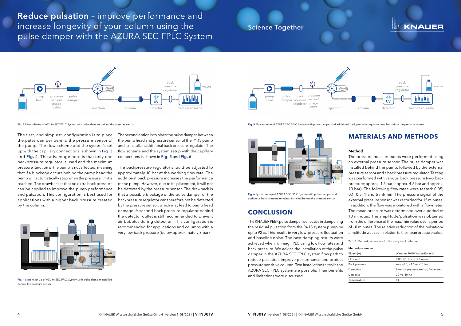## Science Together

Reduce pulsation – improve performance and increase longevity of your column using the pulse damper with the AZURA SEC FPLC System

Fig. 4 System set up of AZURA SEC FPLC System with pulse damper installed behind the pressure sensor

# KNAUER

The second option is to place the pulse damper between

the pump head and pressure sensor of the P4.1S pump and to install an additional back pressure regulator. The flow scheme and the system setup with the capillary connections is shown in Fig. 5 and Fig. 6.

The backpressure regulator should be adjusted to approximately 10 bar at the working flow rate. The additional back pressure increases the performance of the pump. However, due to its placement, it will not be detected by the pressure sensor. The drawback is that a possible blockage of the pulse damper or the backpressure regulator can therefore not be detected by the pressure sensor, which may lead to pump head damage. A second back pressure regulator behind the detector outlet is still recommended to prevent air bubbles during detection. This configuration is recommended for applications and columns with a very low back pressure (below approximately 3 bar).



Fig. 5 Flow scheme of AZURA SEC FPLC System with pulse damper and additional back pressure regulator installed before the pressure sensor

Fig. 6 System set up of AZURA SEC FPLC System with pulse damper and additional back pressure regulator installed before the pressure sensor

## **CONCLUSION**

The KNAUER PEEK pulse damper is effective in dampening the residual pulsation from the P4.1S system pump by up to 92%. This results in very low-pressure fluctuation and baseline noise. The best damping results were achieved when running FPLC using low flow rates and back pressure. We advise the installation of the pulse damper in the AZURA SEC FPLC system flow path to reduce pulsation, improve performance and protect pressure sensitive column. Two installations sites in the AZURA SEC FPLC system are possible. Their benefits and limitations were discussed.

Fig. 3 Flow scheme of AZURA SEC FPLC System with pulse damper behind the pressure sensor

The first, and simplest, configuration is to place the pulse damper behind the pressure sensor of the pump. The flow scheme and the system's set up with the capillary connections is shown in Fig. 3 and Fig. 4. The advantage here is that only one backpressure regulator is used and the maximum pressure function of the pump is not affected, meaning that if a blockage occurs behind the pump head the pump will automatically stop when the pressure limit is reached. The drawback is that no extra back pressure can be applied to improve the pump performance and pulsation. This configuration is best used for applications with a higher back pressure created by the column.



## **MATERIALS AND METHODS**

#### Method

The pressure measurements were performed using an external pressure sensor. The pulse damper was installed behind the pump, followed by the external pressure sensor and a back pressure regulator. Testing was performed with various back pressure (w/o back pressure; approx. 1.5 bar; approx. 4.5 bar and approx. 10 bar). The following flow rates were tested: 0.05; 0.1; 0.5; 1 and 5 ml/min. The pressure signal of the external pressure sensor was recorded for 15 minutes. In addition, the flow was monitored with a flowmeter. The mean pressure was determined over a period of 10 minutes. The amplitude/pulsation was obtained from the difference of the max/min value over a period of 10 minutes. The relative reduction of the pulsation/ amplitude was set in relation to the mean pressure value.

Tab. 3 Method parameters for the analysis of pulsation

| Method parameter |                                     |  |  |
|------------------|-------------------------------------|--|--|
| Eluent (A)       | Water or 90/10 Water/Ethanol        |  |  |
| Flow rate        | $0.05; 0.1; 0.5; 1$ or 5 ml/min     |  |  |
| Back pressure    | w/o, ~1.5; ~4.5 or ~10 bar          |  |  |
| Detection        | External pressure sensor, flowmeter |  |  |
| Data rate        | $20 \text{ ms}/50 \text{ Hz}$       |  |  |
| Temperature      |                                     |  |  |